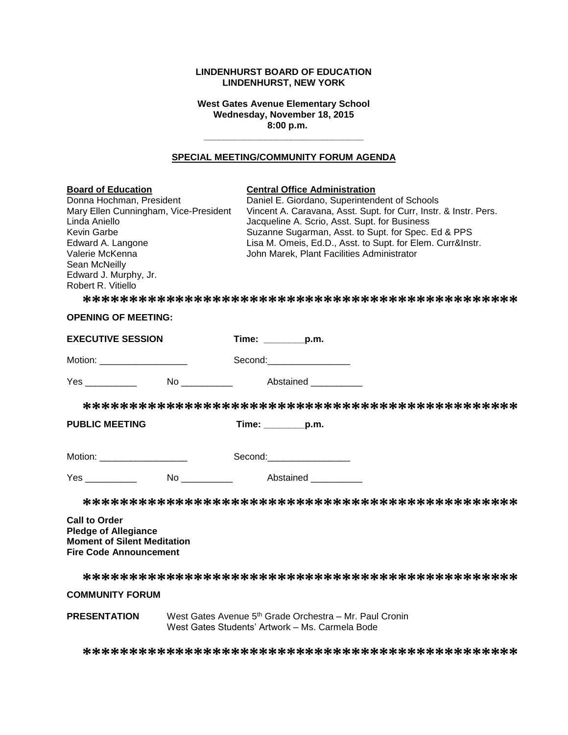### **LINDENHURST BOARD OF EDUCATION LINDENHURST, NEW YORK**

**West Gates Avenue Elementary School Wednesday, November 18, 2015 8:00 p.m.**

#### **SPECIAL MEETING/COMMUNITY FORUM AGENDA**

**\_\_\_\_\_\_\_\_\_\_\_\_\_\_\_\_\_\_\_\_\_\_\_\_\_\_\_\_\_\_\_**

| <b>Board of Education</b><br>Donna Hochman, President<br>Mary Ellen Cunningham, Vice-President<br>Linda Aniello<br>Kevin Garbe<br>Edward A. Langone<br>Valerie McKenna<br>Sean McNeilly<br>Edward J. Murphy, Jr.<br>Robert R. Vitiello | <b>Central Office Administration</b><br>Daniel E. Giordano, Superintendent of Schools<br>Vincent A. Caravana, Asst. Supt. for Curr, Instr. & Instr. Pers.<br>Jacqueline A. Scrio, Asst. Supt. for Business<br>Suzanne Sugarman, Asst. to Supt. for Spec. Ed & PPS<br>Lisa M. Omeis, Ed.D., Asst. to Supt. for Elem. Curr&Instr.<br>John Marek, Plant Facilities Administrator |  |  |
|----------------------------------------------------------------------------------------------------------------------------------------------------------------------------------------------------------------------------------------|-------------------------------------------------------------------------------------------------------------------------------------------------------------------------------------------------------------------------------------------------------------------------------------------------------------------------------------------------------------------------------|--|--|
| <b>OPENING OF MEETING:</b>                                                                                                                                                                                                             |                                                                                                                                                                                                                                                                                                                                                                               |  |  |
| <b>EXECUTIVE SESSION</b>                                                                                                                                                                                                               | Time: _________p.m.                                                                                                                                                                                                                                                                                                                                                           |  |  |
| Motion: ____________________                                                                                                                                                                                                           | Second:___________________                                                                                                                                                                                                                                                                                                                                                    |  |  |
| Yes ___________                                                                                                                                                                                                                        |                                                                                                                                                                                                                                                                                                                                                                               |  |  |
|                                                                                                                                                                                                                                        |                                                                                                                                                                                                                                                                                                                                                                               |  |  |
| <b>PUBLIC MEETING</b>                                                                                                                                                                                                                  | $Time:$ p.m.                                                                                                                                                                                                                                                                                                                                                                  |  |  |
| Motion: ____________________                                                                                                                                                                                                           | Second:__________________                                                                                                                                                                                                                                                                                                                                                     |  |  |
|                                                                                                                                                                                                                                        |                                                                                                                                                                                                                                                                                                                                                                               |  |  |
|                                                                                                                                                                                                                                        |                                                                                                                                                                                                                                                                                                                                                                               |  |  |
| <b>Call to Order</b><br><b>Pledge of Allegiance</b><br><b>Moment of Silent Meditation</b><br><b>Fire Code Announcement</b>                                                                                                             |                                                                                                                                                                                                                                                                                                                                                                               |  |  |
|                                                                                                                                                                                                                                        |                                                                                                                                                                                                                                                                                                                                                                               |  |  |
| <b>COMMUNITY FORUM</b>                                                                                                                                                                                                                 |                                                                                                                                                                                                                                                                                                                                                                               |  |  |
| <b>PRESENTATION</b>                                                                                                                                                                                                                    | West Gates Avenue 5 <sup>th</sup> Grade Orchestra - Mr. Paul Cronin<br>West Gates Students' Artwork - Ms. Carmela Bode                                                                                                                                                                                                                                                        |  |  |

**\*\*\*\*\*\*\*\*\*\*\*\*\*\*\*\*\*\*\*\*\*\*\*\*\*\*\*\*\*\*\*\*\*\*\*\*\*\*\*\*\*\*\*\*\*\*\***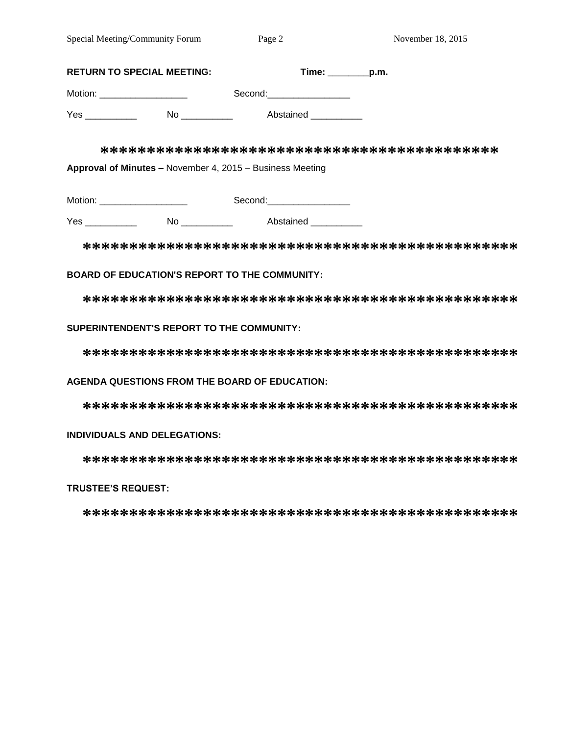| <b>RETURN TO SPECIAL MEETING:</b> |                                                           | $Time: \_\_\_p.m.$ |
|-----------------------------------|-----------------------------------------------------------|--------------------|
| Motion: _____________________     | Second: ________________                                  |                    |
| No ____________                   | Abstained ___________                                     |                    |
|                                   |                                                           |                    |
|                                   | Approval of Minutes - November 4, 2015 - Business Meeting |                    |
| Motion: _____________________     | Second:__________________                                 |                    |

Yes \_\_\_\_\_\_\_\_\_\_\_\_ No \_\_\_\_\_\_\_\_\_\_ Abstained \_\_\_\_\_\_\_\_\_

**\*\*\*\*\*\*\*\*\*\*\*\*\*\*\*\*\*\*\*\*\*\*\*\*\*\*\*\*\*\*\*\*\*\*\*\*\*\*\*\*\*\*\*\*\*\*\***

### **BOARD OF EDUCATION'S REPORT TO THE COMMUNITY:**

**\*\*\*\*\*\*\*\*\*\*\*\*\*\*\*\*\*\*\*\*\*\*\*\*\*\*\*\*\*\*\*\*\*\*\*\*\*\*\*\*\*\*\*\*\*\*\***

#### **SUPERINTENDENT'S REPORT TO THE COMMUNITY:**

**\*\*\*\*\*\*\*\*\*\*\*\*\*\*\*\*\*\*\*\*\*\*\*\*\*\*\*\*\*\*\*\*\*\*\*\*\*\*\*\*\*\*\*\*\*\*\***

### **AGENDA QUESTIONS FROM THE BOARD OF EDUCATION:**

**\*\*\*\*\*\*\*\*\*\*\*\*\*\*\*\*\*\*\*\*\*\*\*\*\*\*\*\*\*\*\*\*\*\*\*\*\*\*\*\*\*\*\*\*\*\*\***

#### **INDIVIDUALS AND DELEGATIONS:**

**\*\*\*\*\*\*\*\*\*\*\*\*\*\*\*\*\*\*\*\*\*\*\*\*\*\*\*\*\*\*\*\*\*\*\*\*\*\*\*\*\*\*\*\*\*\*\***

### **TRUSTEE'S REQUEST:**

**\*\*\*\*\*\*\*\*\*\*\*\*\*\*\*\*\*\*\*\*\*\*\*\*\*\*\*\*\*\*\*\*\*\*\*\*\*\*\*\*\*\*\*\*\*\*\***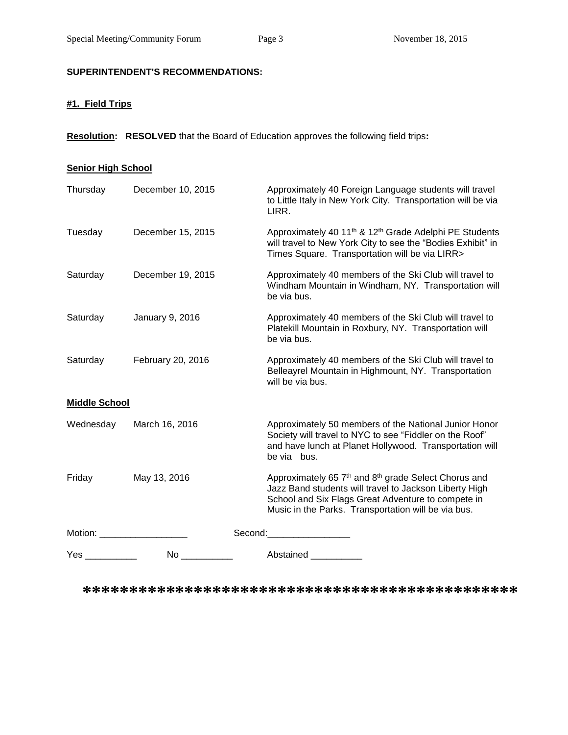# **SUPERINTENDENT'S RECOMMENDATIONS:**

# **#1. Field Trips**

**Resolution: RESOLVED** that the Board of Education approves the following field trips**:**

#### **Senior High School**

| <b>Yes</b>             | No l              | Abstained ____________                                                                                                                                                                                                        |
|------------------------|-------------------|-------------------------------------------------------------------------------------------------------------------------------------------------------------------------------------------------------------------------------|
| Motion: <b>Example</b> |                   | Second: the second of the second of the second of the second of the second of the second of the second of the second of the second of the second of the second of the second of the second of the second of the second of the |
| Friday                 | May 13, 2016      | Approximately 65 7th and 8th grade Select Chorus and<br>Jazz Band students will travel to Jackson Liberty High<br>School and Six Flags Great Adventure to compete in<br>Music in the Parks. Transportation will be via bus.   |
| Wednesday              | March 16, 2016    | Approximately 50 members of the National Junior Honor<br>Society will travel to NYC to see "Fiddler on the Roof"<br>and have lunch at Planet Hollywood. Transportation will<br>be via bus.                                    |
| <b>Middle School</b>   |                   |                                                                                                                                                                                                                               |
| Saturday               | February 20, 2016 | Approximately 40 members of the Ski Club will travel to<br>Belleayrel Mountain in Highmount, NY. Transportation<br>will be via bus.                                                                                           |
| Saturday               | January 9, 2016   | Approximately 40 members of the Ski Club will travel to<br>Platekill Mountain in Roxbury, NY. Transportation will<br>be via bus.                                                                                              |
| Saturday               | December 19, 2015 | Approximately 40 members of the Ski Club will travel to<br>Windham Mountain in Windham, NY. Transportation will<br>be via bus.                                                                                                |
| Tuesday                | December 15, 2015 | Approximately 40 11 <sup>th</sup> & 12 <sup>th</sup> Grade Adelphi PE Students<br>will travel to New York City to see the "Bodies Exhibit" in<br>Times Square. Transportation will be via LIRR>                               |
| Thursday               | December 10, 2015 | Approximately 40 Foreign Language students will travel<br>to Little Italy in New York City. Transportation will be via<br>LIRR.                                                                                               |

**\*\*\*\*\*\*\*\*\*\*\*\*\*\*\*\*\*\*\*\*\*\*\*\*\*\*\*\*\*\*\*\*\*\*\*\*\*\*\*\*\*\*\*\*\*\*\***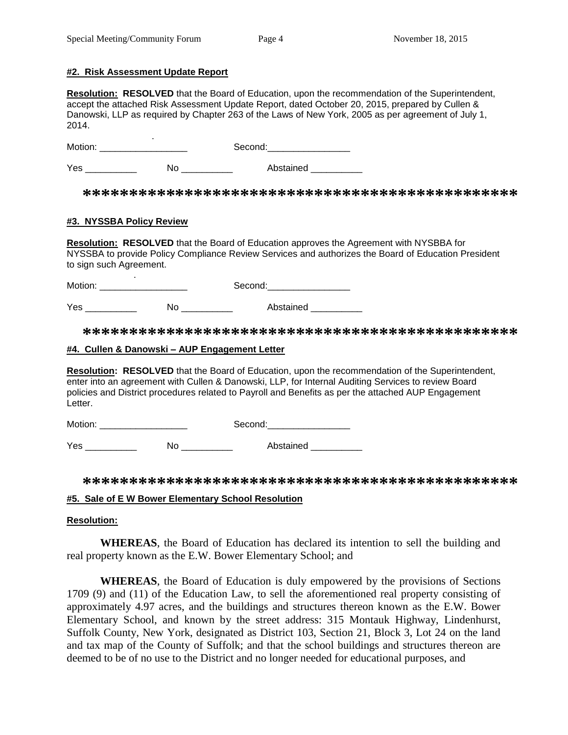#### **#2. Risk Assessment Update Report**

**Resolution: RESOLVED** that the Board of Education, upon the recommendation of the Superintendent, accept the attached Risk Assessment Update Report, dated October 20, 2015, prepared by Cullen & Danowski, LLP as required by Chapter 263 of the Laws of New York, 2005 as per agreement of July 1, 2014.

Motion: \_\_\_\_\_\_ Motion: \_\_\_\_\_\_\_\_\_\_\_\_\_\_\_\_\_ Second:\_\_\_\_\_\_\_\_\_\_\_\_\_\_\_\_

Yes \_\_\_\_\_\_\_\_\_\_\_\_\_ No \_\_\_\_\_\_\_\_\_\_\_ Abstained \_\_\_\_\_\_\_\_\_\_

**\*\*\*\*\*\*\*\*\*\*\*\*\*\*\*\*\*\*\*\*\*\*\*\*\*\*\*\*\*\*\*\*\*\*\*\*\*\*\*\*\*\*\*\*\*\*\***

### **#3. NYSSBA Policy Review**

.

**Resolution: RESOLVED** that the Board of Education approves the Agreement with NYSBBA for NYSSBA to provide Policy Compliance Review Services and authorizes the Board of Education President to sign such Agreement.

Motion: \_\_\_\_\_\_\_\_\_\_\_\_\_\_\_\_\_ Second:\_\_\_\_\_\_\_\_\_\_\_\_\_\_\_\_

Yes \_\_\_\_\_\_\_\_\_\_\_\_\_ No \_\_\_\_\_\_\_\_\_\_\_ Abstained \_\_\_\_\_\_\_\_\_\_

**\*\*\*\*\*\*\*\*\*\*\*\*\*\*\*\*\*\*\*\*\*\*\*\*\*\*\*\*\*\*\*\*\*\*\*\*\*\*\*\*\*\*\*\*\*\*\***

#### **#4. Cullen & Danowski – AUP Engagement Letter**

**Resolution: RESOLVED** that the Board of Education, upon the recommendation of the Superintendent, enter into an agreement with Cullen & Danowski, LLP, for Internal Auditing Services to review Board policies and District procedures related to Payroll and Benefits as per the attached AUP Engagement Letter.

Motion: \_\_\_\_\_\_\_\_\_\_\_\_\_\_\_\_\_ Second:\_\_\_\_\_\_\_\_\_\_\_\_\_\_\_\_

Yes \_\_\_\_\_\_\_\_\_\_\_\_\_ No \_\_\_\_\_\_\_\_\_\_\_ Abstained \_\_\_\_\_\_\_\_\_\_

**\*\*\*\*\*\*\*\*\*\*\*\*\*\*\*\*\*\*\*\*\*\*\*\*\*\*\*\*\*\*\*\*\*\*\*\*\*\*\*\*\*\*\*\*\*\*\***

#### **#5. Sale of E W Bower Elementary School Resolution**

### **Resolution:**

**WHEREAS**, the Board of Education has declared its intention to sell the building and real property known as the E.W. Bower Elementary School; and

**WHEREAS**, the Board of Education is duly empowered by the provisions of Sections 1709 (9) and (11) of the Education Law, to sell the aforementioned real property consisting of approximately 4.97 acres, and the buildings and structures thereon known as the E.W. Bower Elementary School, and known by the street address: 315 Montauk Highway, Lindenhurst, Suffolk County, New York, designated as District 103, Section 21, Block 3, Lot 24 on the land and tax map of the County of Suffolk; and that the school buildings and structures thereon are deemed to be of no use to the District and no longer needed for educational purposes, and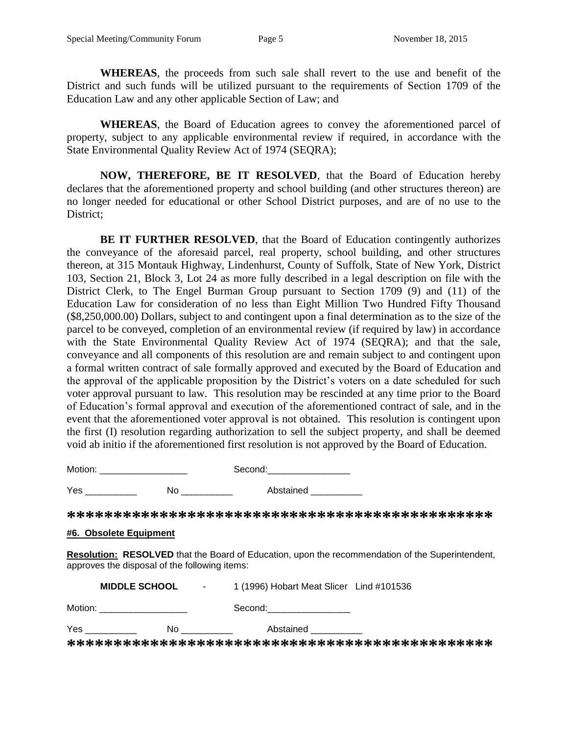**WHEREAS**, the proceeds from such sale shall revert to the use and benefit of the District and such funds will be utilized pursuant to the requirements of Section 1709 of the Education Law and any other applicable Section of Law; and

**WHEREAS**, the Board of Education agrees to convey the aforementioned parcel of property, subject to any applicable environmental review if required, in accordance with the State Environmental Quality Review Act of 1974 (SEQRA);

**NOW, THEREFORE, BE IT RESOLVED**, that the Board of Education hereby declares that the aforementioned property and school building (and other structures thereon) are no longer needed for educational or other School District purposes, and are of no use to the District;

**BE IT FURTHER RESOLVED**, that the Board of Education contingently authorizes the conveyance of the aforesaid parcel, real property, school building, and other structures thereon, at 315 Montauk Highway, Lindenhurst, County of Suffolk, State of New York, District 103, Section 21, Block 3, Lot 24 as more fully described in a legal description on file with the District Clerk, to The Engel Burman Group pursuant to Section 1709 (9) and (11) of the Education Law for consideration of no less than Eight Million Two Hundred Fifty Thousand (\$8,250,000.00) Dollars, subject to and contingent upon a final determination as to the size of the parcel to be conveyed, completion of an environmental review (if required by law) in accordance with the State Environmental Quality Review Act of 1974 (SEQRA); and that the sale, conveyance and all components of this resolution are and remain subject to and contingent upon a formal written contract of sale formally approved and executed by the Board of Education and the approval of the applicable proposition by the District's voters on a date scheduled for such voter approval pursuant to law. This resolution may be rescinded at any time prior to the Board of Education's formal approval and execution of the aforementioned contract of sale, and in the event that the aforementioned voter approval is not obtained. This resolution is contingent upon the first (I) resolution regarding authorization to sell the subject property, and shall be deemed void ab initio if the aforementioned first resolution is not approved by the Board of Education.

Motion: example of the second: Second:  $\sim$  Second: Yes \_\_\_\_\_\_\_\_\_\_\_\_ No \_\_\_\_\_\_\_\_\_ Abstained \_\_\_\_\_\_\_\_\_

**\*\*\*\*\*\*\*\*\*\*\*\*\*\*\*\*\*\*\*\*\*\*\*\*\*\*\*\*\*\*\*\*\*\*\*\*\*\*\*\*\*\*\*\*\*\***

### **#6. Obsolete Equipment**

**Resolution: RESOLVED** that the Board of Education, upon the recommendation of the Superintendent, approves the disposal of the following items:

| <b>MIDDLE SCHOOL</b>        |    | 1 (1996) Hobart Meat Slicer Lind #101536<br>$\sim 100$ |  |
|-----------------------------|----|--------------------------------------------------------|--|
| Motion: <u>____________</u> |    | Second:                                                |  |
| Yes                         | Nο | Abstained                                              |  |
|                             |    |                                                        |  |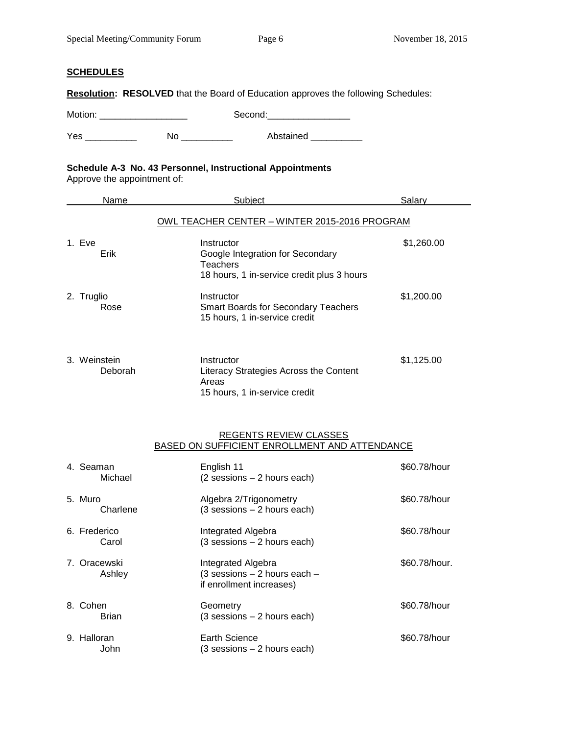#### **SCHEDULES**

**Resolution: RESOLVED** that the Board of Education approves the following Schedules:

Motion: \_\_\_\_\_\_\_\_\_\_\_\_\_\_\_\_\_ Second:\_\_\_\_\_\_\_\_\_\_\_\_\_\_\_\_

Yes \_\_\_\_\_\_\_\_\_\_\_\_ No \_\_\_\_\_\_\_\_\_\_ Abstained \_\_\_\_\_\_\_\_\_

# **Schedule A-3 No. 43 Personnel, Instructional Appointments**

Approve the appointment of:

| Name                    | Subject                                                                                                         | Salarv     |
|-------------------------|-----------------------------------------------------------------------------------------------------------------|------------|
|                         | OWL TEACHER CENTER - WINTER 2015-2016 PROGRAM                                                                   |            |
| 1. Eve<br>Erik          | Instructor<br>Google Integration for Secondary<br><b>Teachers</b><br>18 hours, 1 in-service credit plus 3 hours | \$1,260.00 |
| 2. Truglio<br>Rose      | Instructor<br><b>Smart Boards for Secondary Teachers</b><br>15 hours, 1 in-service credit                       | \$1,200.00 |
| 3. Weinstein<br>Deborah | Instructor<br>Literacy Strategies Across the Content<br>Areas<br>15 hours, 1 in-service credit                  | \$1,125.00 |

#### REGENTS REVIEW CLASSES BASED ON SUFFICIENT ENROLLMENT AND ATTENDANCE

| 4. Seaman<br>Michael   | English 11<br>$(2$ sessions $-2$ hours each)                                   | \$60.78/hour  |
|------------------------|--------------------------------------------------------------------------------|---------------|
| 5. Muro<br>Charlene    | Algebra 2/Trigonometry<br>$(3$ sessions $-2$ hours each)                       | \$60.78/hour  |
| 6. Frederico<br>Carol  | Integrated Algebra<br>$(3$ sessions $-2$ hours each)                           | \$60.78/hour  |
| 7. Oracewski<br>Ashley | Integrated Algebra<br>(3 sessions - 2 hours each -<br>if enrollment increases) | \$60.78/hour. |
| 8. Cohen<br>Brian      | Geometry<br>$(3$ sessions $-2$ hours each)                                     | \$60.78/hour  |
| 9. Halloran<br>John    | Earth Science<br>$(3$ sessions $-2$ hours each)                                | \$60.78/hour  |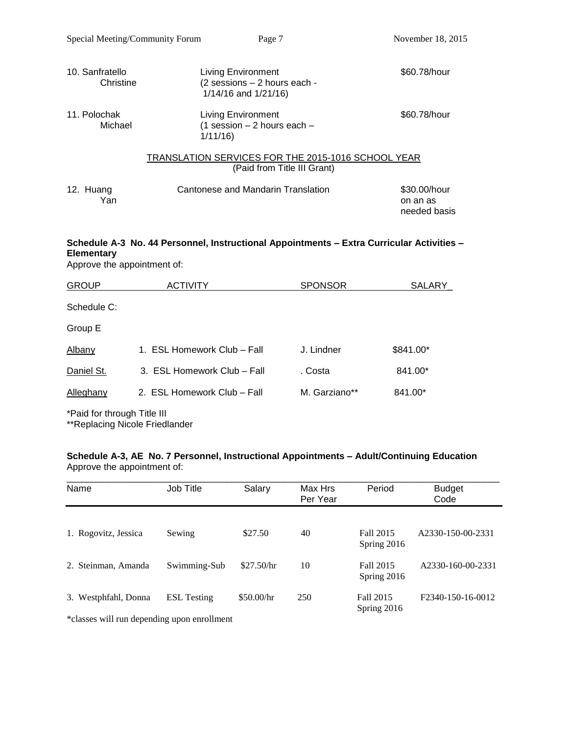| 10. Sanfratello<br>Christine | <b>Living Environment</b><br>(2 sessions - 2 hours each -<br>1/14/16 and 1/21/16) | \$60.78/hour                             |
|------------------------------|-----------------------------------------------------------------------------------|------------------------------------------|
| 11. Polochak<br>Michael      | Living Environment<br>(1 session $-2$ hours each $-$<br>1/11/16                   | \$60.78/hour                             |
|                              | TRANSLATION SERVICES FOR THE 2015-1016 SCHOOL YEAR<br>(Paid from Title III Grant) |                                          |
| 12. Huang<br>Yan             | Cantonese and Mandarin Translation                                                | \$30,00/hour<br>on an as<br>needed basis |

# **Schedule A-3 No. 44 Personnel, Instructional Appointments – Extra Curricular Activities – Elementary**

Approve the appointment of:

| <b>GROUP</b>                                                                                                                                                                                                                      | ACTIVITY                    | <b>SPONSOR</b> | <b>SALARY</b> |
|-----------------------------------------------------------------------------------------------------------------------------------------------------------------------------------------------------------------------------------|-----------------------------|----------------|---------------|
| Schedule C:                                                                                                                                                                                                                       |                             |                |               |
| Group E                                                                                                                                                                                                                           |                             |                |               |
| Albany                                                                                                                                                                                                                            | 1. ESL Homework Club – Fall | J. Lindner     | \$841.00*     |
| Daniel St.                                                                                                                                                                                                                        | 3. ESL Homework Club - Fall | . Costa        | 841.00*       |
| Alleghany                                                                                                                                                                                                                         | 2. ESL Homework Club - Fall | M. Garziano**  | 841.00*       |
| $\frac{1}{2}$ . The contract of the contract of the contract of the contract of the contract of the contract of the contract of the contract of the contract of the contract of the contract of the contract of the contract of t |                             |                |               |

\*Paid for through Title III

\*\*Replacing Nicole Friedlander

#### **Schedule A-3, AE No. 7 Personnel, Instructional Appointments – Adult/Continuing Education** Approve the appointment of:

| Name                                                                                | Job Title          | Salary     | Max Hrs<br>Per Year | Period                   | <b>Budget</b><br>Code |
|-------------------------------------------------------------------------------------|--------------------|------------|---------------------|--------------------------|-----------------------|
| 1. Rogovitz, Jessica                                                                | Sewing             | \$27.50    | 40                  | Fall 2015<br>Spring 2016 | A2330-150-00-2331     |
| 2. Steinman, Amanda                                                                 | Swimming-Sub       | \$27.50/hr | 10                  | Fall 2015<br>Spring 2016 | A2330-160-00-2331     |
| 3. Westphfahl, Donna<br>skultuusia see 11 meessa kunnassa kunnassa sisaa 11 meessä. | <b>ESL</b> Testing | \$50.00/hr | 250                 | Fall 2015<br>Spring 2016 | F2340-150-16-0012     |

\*classes will run depending upon enrollment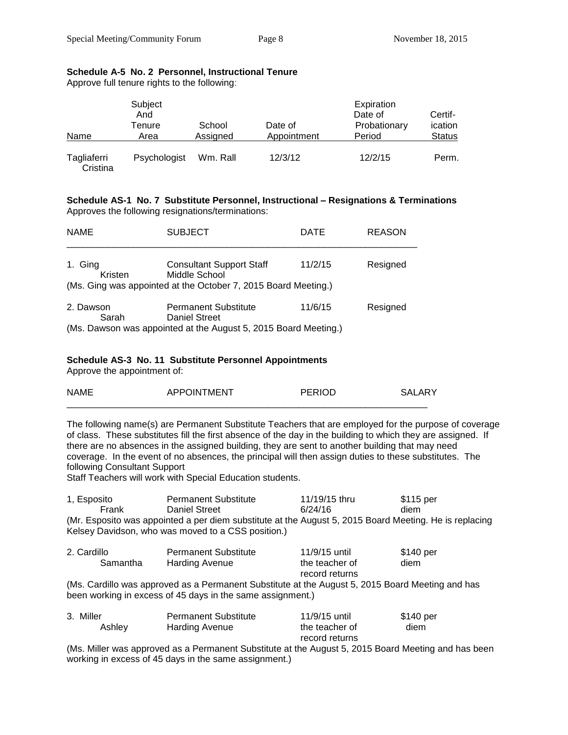| Name                    | Subject<br>And<br>Tenure<br>Area | School<br>Assigned | Date of<br>Appointment | Expiration<br>Date of<br>Probationary<br>Period | Certif-<br>ication<br><b>Status</b> |
|-------------------------|----------------------------------|--------------------|------------------------|-------------------------------------------------|-------------------------------------|
| Tagliaferri<br>Cristina | Psychologist                     | Wm. Rall           | 12/3/12                | 12/2/15                                         | Perm.                               |

## **Schedule A-5 No. 2 Personnel, Instructional Tenure**

Approve full tenure rights to the following:

#### **Schedule AS-1 No. 7 Substitute Personnel, Instructional – Resignations & Terminations** Approves the following resignations/terminations:

| <b>NAME</b>        | <b>SUBJECT</b>                                                                                                         | DATE    | <b>REASON</b> |
|--------------------|------------------------------------------------------------------------------------------------------------------------|---------|---------------|
| 1. Ging<br>Kristen | <b>Consultant Support Staff</b><br>Middle School<br>(Ms. Ging was appointed at the October 7, 2015 Board Meeting.)     | 11/2/15 | Resigned      |
| 2. Dawson<br>Sarah | <b>Permanent Substitute</b><br><b>Daniel Street</b><br>(Ms. Dawson was appointed at the August 5, 2015 Board Meeting.) | 11/6/15 | Resigned      |

### **Schedule AS-3 No. 11 Substitute Personnel Appointments**

Approve the appointment of:

| <b>NLAME</b> | OINTMENT<br>$\wedge$ | חמוחחת |  |
|--------------|----------------------|--------|--|
|              |                      |        |  |

The following name(s) are Permanent Substitute Teachers that are employed for the purpose of coverage of class. These substitutes fill the first absence of the day in the building to which they are assigned. If there are no absences in the assigned building, they are sent to another building that may need coverage. In the event of no absences, the principal will then assign duties to these substitutes. The following Consultant Support

Staff Teachers will work with Special Education students.

| 1, Esposito                                                                                            | <b>Permanent Substitute</b> | 11/19/15 thru | \$115 per |  |  |
|--------------------------------------------------------------------------------------------------------|-----------------------------|---------------|-----------|--|--|
| Frank                                                                                                  | Daniel Street               | 6/24/16       | diem      |  |  |
| (Mr. Esposito was appointed a per diem substitute at the August 5, 2015 Board Meeting. He is replacing |                             |               |           |  |  |
| Kelsey Davidson, who was moved to a CSS position.)                                                     |                             |               |           |  |  |

| 2. Cardillo | <b>Permanent Substitute</b> | 11/9/15 until  | \$140 per |
|-------------|-----------------------------|----------------|-----------|
| Samantha    | Harding Avenue              | the teacher of | diem      |
|             |                             | record returns |           |
| .           |                             |                |           |

(Ms. Cardillo was approved as a Permanent Substitute at the August 5, 2015 Board Meeting and has been working in excess of 45 days in the same assignment.)

| 3. Miller | <b>Permanent Substitute</b> | 11/9/15 until  | \$140 per |
|-----------|-----------------------------|----------------|-----------|
| Ashley    | Harding Avenue              | the teacher of | diem      |
|           |                             | record returns |           |

(Ms. Miller was approved as a Permanent Substitute at the August 5, 2015 Board Meeting and has been working in excess of 45 days in the same assignment.)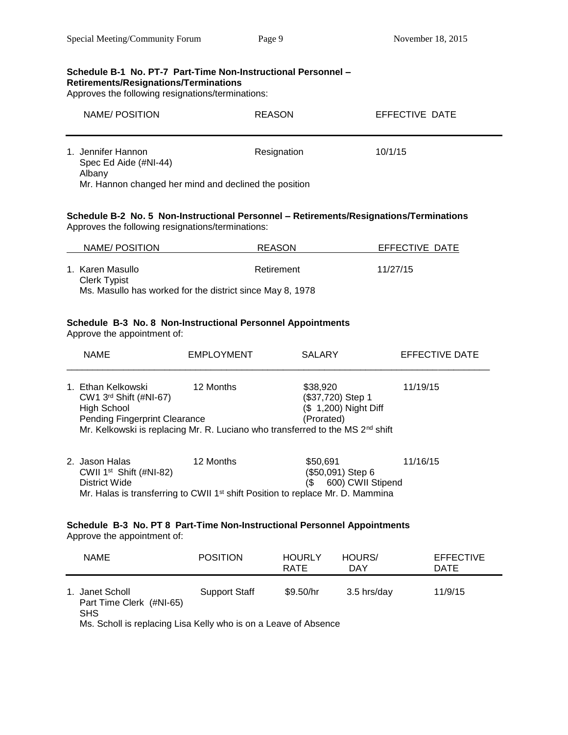#### **Schedule B-1 No. PT-7 Part-Time Non-Instructional Personnel – Retirements/Resignations/Terminations**

Approves the following resignations/terminations:

| NAME/POSITION                                         | <b>REASON</b> | EFFECTIVE DATE |
|-------------------------------------------------------|---------------|----------------|
| 1. Jennifer Hannon<br>Spec Ed Aide (#NI-44)<br>Albany | Resignation   | 10/1/15        |
| Mr. Hannon changed her mind and declined the position |               |                |

#### **Schedule B-2 No. 5 Non-Instructional Personnel – Retirements/Resignations/Terminations** Approves the following resignations/terminations:

| NAME/POSITION                                                                                        | REASON     | EFFECTIVE DATE |
|------------------------------------------------------------------------------------------------------|------------|----------------|
| 1. Karen Masullo<br><b>Clerk Typist</b><br>Ms. Masullo has worked for the district since May 8, 1978 | Retirement | 11/27/15       |

# **Schedule B-3 No. 8 Non-Instructional Personnel Appointments**

Approve the appointment of:

| <b>NAME</b>                                                                                    | <b>EMPLOYMENT</b>                                                                                       | <b>SALARY</b>                                                        | EFFECTIVE DATE |  |
|------------------------------------------------------------------------------------------------|---------------------------------------------------------------------------------------------------------|----------------------------------------------------------------------|----------------|--|
| 1. Ethan Kelkowski<br>CW1 $3rd$ Shift (#NI-67)<br>High School<br>Pending Fingerprint Clearance | 12 Months<br>Mr. Kelkowski is replacing Mr. R. Luciano who transferred to the MS 2 <sup>nd</sup> shift  | \$38,920<br>(\$37,720) Step 1<br>(\$ 1,200) Night Diff<br>(Prorated) | 11/19/15       |  |
| 2. Jason Halas<br>CWII $1st$ Shift (#NI-82)<br>District Wide                                   | 12 Months<br>Mr. Halas is transferring to CWII 1 <sup>st</sup> shift Position to replace Mr. D. Mammina | \$50.691<br>(\$50,091) Step 6<br>600) CWII Stipend<br>΄\$            | 11/16/15       |  |
| Schedule B-3 No. PT 8 Part-Time Non-Instructional Personnel Appointments                       |                                                                                                         |                                                                      |                |  |

Approve the appointment of:

| <b>NAME</b>                                                     | <b>POSITION</b> | <b>HOURLY</b><br>RATE | HOURS/<br>DAY | <b>EFFECTIVE</b><br>DATE |
|-----------------------------------------------------------------|-----------------|-----------------------|---------------|--------------------------|
| 1. Janet Scholl<br>Part Time Clerk (#NI-65)<br><b>SHS</b>       | Support Staff   | \$9.50/hr             | 3.5 hrs/day   | 11/9/15                  |
| Ms. Scholl is replacing Lisa Kelly who is on a Leave of Absence |                 |                       |               |                          |

s. Scholl is replacing Lisa Kelly who is on a Leave of Absence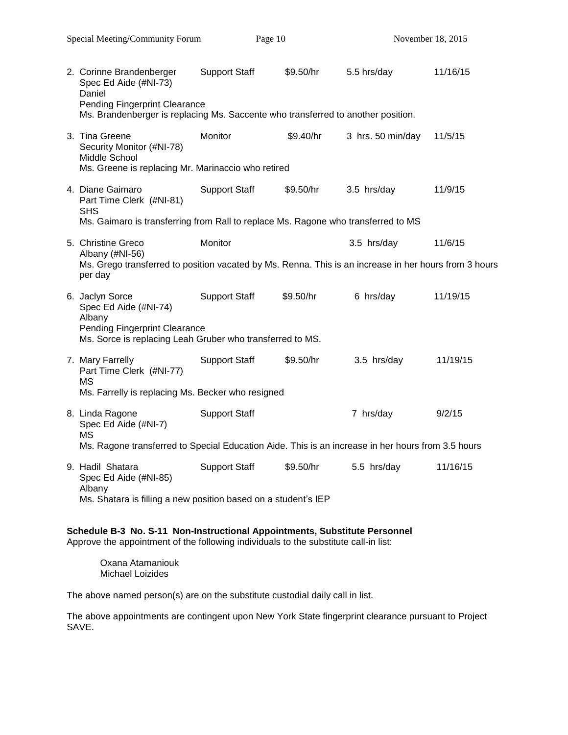| 2. Corinne Brandenberger<br>Spec Ed Aide (#NI-73)<br>Daniel<br><b>Pending Fingerprint Clearance</b><br>Ms. Brandenberger is replacing Ms. Saccente who transferred to another position.                 | <b>Support Staff</b> | \$9.50/hr | 5.5 hrs/day       | 11/16/15 |
|---------------------------------------------------------------------------------------------------------------------------------------------------------------------------------------------------------|----------------------|-----------|-------------------|----------|
| 3. Tina Greene<br>Security Monitor (#NI-78)<br>Middle School<br>Ms. Greene is replacing Mr. Marinaccio who retired                                                                                      | Monitor              | \$9.40/hr | 3 hrs. 50 min/day | 11/5/15  |
| 4. Diane Gaimaro<br>Part Time Clerk (#NI-81)<br><b>SHS</b><br>Ms. Gaimaro is transferring from Rall to replace Ms. Ragone who transferred to MS                                                         | <b>Support Staff</b> | \$9.50/hr | 3.5 hrs/day       | 11/9/15  |
| 5. Christine Greco<br>Albany (#NI-56)<br>Ms. Grego transferred to position vacated by Ms. Renna. This is an increase in her hours from 3 hours<br>per day                                               | Monitor              |           | 3.5 hrs/day       | 11/6/15  |
| 6. Jaclyn Sorce<br>Spec Ed Aide (#NI-74)<br>Albany<br><b>Pending Fingerprint Clearance</b><br>Ms. Sorce is replacing Leah Gruber who transferred to MS.                                                 | <b>Support Staff</b> | \$9.50/hr | 6 hrs/day         | 11/19/15 |
| 7. Mary Farrelly<br>Part Time Clerk (#NI-77)<br><b>MS</b>                                                                                                                                               | <b>Support Staff</b> | \$9.50/hr | 3.5 hrs/day       | 11/19/15 |
| Ms. Farrelly is replacing Ms. Becker who resigned<br>8. Linda Ragone<br>Spec Ed Aide (#NI-7)<br>ΜS<br>Ms. Ragone transferred to Special Education Aide. This is an increase in her hours from 3.5 hours | <b>Support Staff</b> |           | 7 hrs/day         | 9/2/15   |
| 9. Hadil Shatara<br>Spec Ed Aide (#NI-85)<br>Albany<br>Ms. Shatara is filling a new position based on a student's IEP                                                                                   | <b>Support Staff</b> | \$9.50/hr | 5.5 hrs/day       | 11/16/15 |

### **Schedule B-3 No. S-11 Non-Instructional Appointments, Substitute Personnel**

Approve the appointment of the following individuals to the substitute call-in list:

Oxana Atamaniouk Michael Loizides

The above named person(s) are on the substitute custodial daily call in list.

The above appointments are contingent upon New York State fingerprint clearance pursuant to Project SAVE.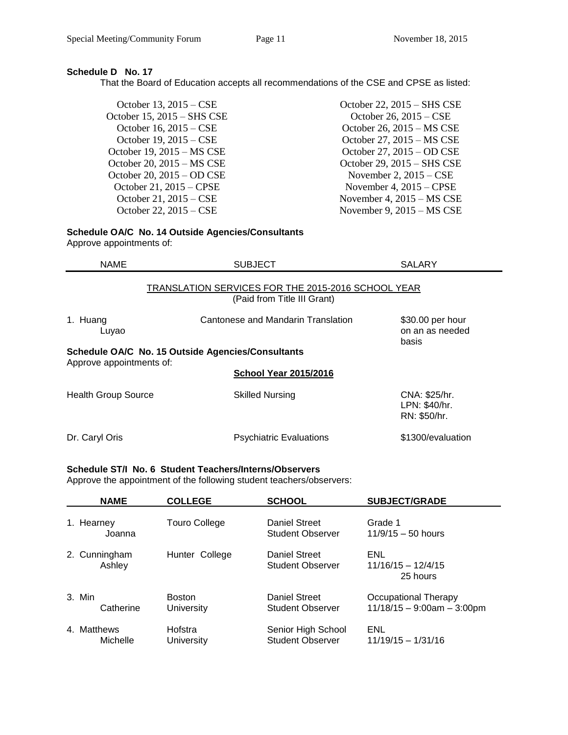# **Schedule D No. 17**

That the Board of Education accepts all recommendations of the CSE and CPSE as listed:

| October 22, 2015 – SHS CSE          |
|-------------------------------------|
| October 26, $2015 - CSE$            |
| October 26, 2015 – MS CSE           |
| October 27, 2015 – MS CSE           |
| October 27, 2015 – OD CSE           |
| October 29, 2015 – SHS CSE          |
| November 2, $2015 - CSE$            |
| November 4, $2015 - CPSE$           |
| November 4, $2015 - MS \text{ CSE}$ |
| November 9, $2015 - MS \text{ }CSE$ |
|                                     |

# **Schedule OA/C No. 14 Outside Agencies/Consultants**

Approve appointments of:

| <b>NAME</b>                | <b>SUBJECT</b>                                                                    | <b>SALARY</b>                                  |
|----------------------------|-----------------------------------------------------------------------------------|------------------------------------------------|
|                            | TRANSLATION SERVICES FOR THE 2015-2016 SCHOOL YEAR<br>(Paid from Title III Grant) |                                                |
| 1. Huang<br>Luyao          | \$30.00 per hour<br>on an as needed<br>basis                                      |                                                |
|                            | Schedule OA/C No. 15 Outside Agencies/Consultants                                 |                                                |
| Approve appointments of:   | <b>School Year 2015/2016</b>                                                      |                                                |
| <b>Health Group Source</b> | <b>Skilled Nursing</b>                                                            | CNA: \$25/hr.<br>LPN: \$40/hr.<br>RN: \$50/hr. |
| Dr. Caryl Oris             | <b>Psychiatric Evaluations</b>                                                    | \$1300/evaluation                              |

#### **Schedule ST/I No. 6 Student Teachers/Interns/Observers**

Approve the appointment of the following student teachers/observers:

| <b>NAME</b>             | <b>COLLEGE</b>              | <b>SCHOOL</b>                                   | <b>SUBJECT/GRADE</b>                                 |
|-------------------------|-----------------------------|-------------------------------------------------|------------------------------------------------------|
| 1. Hearney<br>Joanna    | <b>Touro College</b>        | <b>Daniel Street</b><br><b>Student Observer</b> | Grade 1<br>$11/9/15 - 50$ hours                      |
| 2. Cunningham<br>Ashley | Hunter College              | Daniel Street<br><b>Student Observer</b>        | ENL<br>$11/16/15 - 12/4/15$<br>25 hours              |
| 3. Min<br>Catherine     | <b>Boston</b><br>University | Daniel Street<br><b>Student Observer</b>        | Occupational Therapy<br>$11/18/15 - 9:00am - 3:00pm$ |
| 4. Matthews<br>Michelle | Hofstra<br>University       | Senior High School<br><b>Student Observer</b>   | ENL<br>$11/19/15 - 1/31/16$                          |